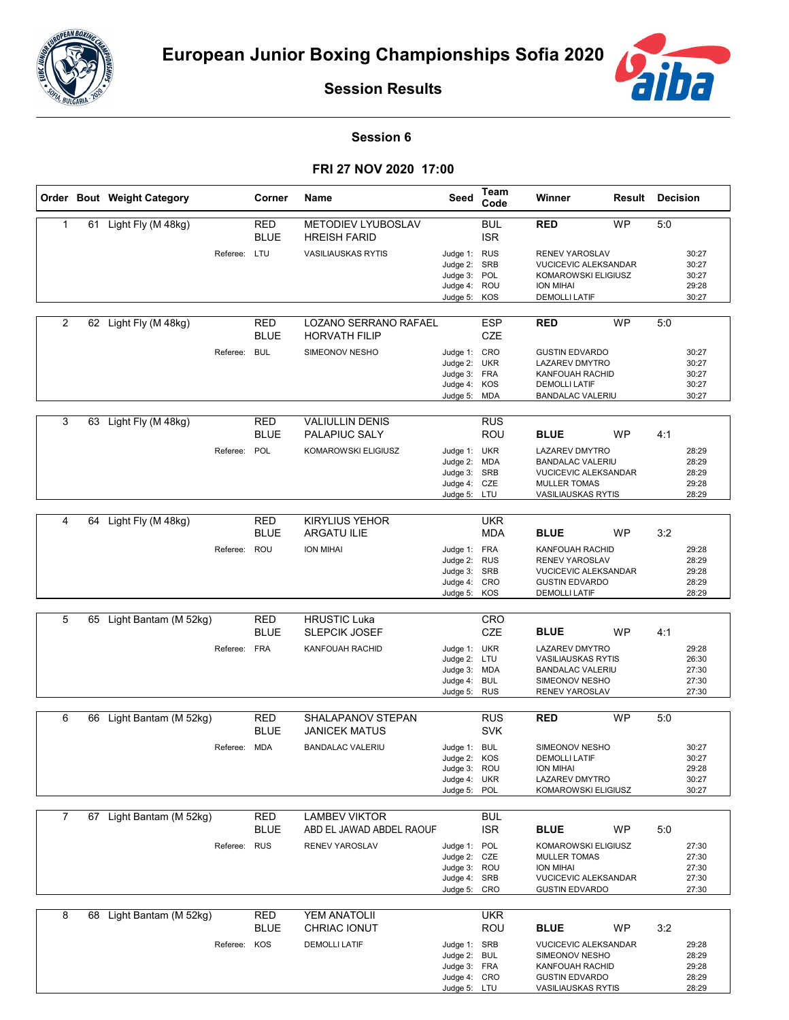



**Session Results**

## **Session 6**

**FRI 27 NOV 2020 17:00**

|                |    | Order Bout Weight Category |              | Corner                    | Name                                          | Seed                                                                         | <b>Team</b><br>Code      | Winner                                                                                                                                | Result    | <b>Decision</b> |                                           |
|----------------|----|----------------------------|--------------|---------------------------|-----------------------------------------------|------------------------------------------------------------------------------|--------------------------|---------------------------------------------------------------------------------------------------------------------------------------|-----------|-----------------|-------------------------------------------|
| $\mathbf{1}$   |    | 61 Light Fly (M 48kg)      |              | <b>RED</b><br><b>BLUE</b> | METODIEV LYUBOSLAV<br><b>HREISH FARID</b>     |                                                                              | <b>BUL</b><br><b>ISR</b> | <b>RED</b>                                                                                                                            | <b>WP</b> | 5:0             |                                           |
|                |    |                            | Referee: LTU |                           | <b>VASILIAUSKAS RYTIS</b>                     | Judge 1: RUS<br>Judge 2:<br>Judge 3: POL<br>Judge 4: ROU<br>Judge 5: KOS     | <b>SRB</b>               | RENEV YAROSLAV<br><b>VUCICEVIC ALEKSANDAR</b><br>KOMAROWSKI ELIGIUSZ<br><b>ION MIHAI</b><br><b>DEMOLLI LATIF</b>                      |           |                 | 30:27<br>30:27<br>30:27<br>29:28<br>30:27 |
| $\overline{2}$ |    | 62 Light Fly (M 48kg)      |              | <b>RED</b><br><b>BLUE</b> | LOZANO SERRANO RAFAEL<br><b>HORVATH FILIP</b> |                                                                              | <b>ESP</b><br><b>CZE</b> | <b>RED</b>                                                                                                                            | <b>WP</b> | 5:0             |                                           |
|                |    |                            | Referee: BUL |                           | SIMEONOV NESHO                                | Judge 1: CRO<br>Judge 2: UKR<br>Judge 3: FRA<br>Judge 4: KOS<br>Judge 5:     | MDA                      | <b>GUSTIN EDVARDO</b><br><b>LAZAREV DMYTRO</b><br>KANFOUAH RACHID<br><b>DEMOLLI LATIF</b><br><b>BANDALAC VALERIU</b>                  |           |                 | 30:27<br>30:27<br>30:27<br>30:27<br>30:27 |
| 3              |    | 63 Light Fly (M 48kg)      |              | RED<br><b>BLUE</b>        | <b>VALIULLIN DENIS</b><br>PALAPIUC SALY       |                                                                              | <b>RUS</b><br>ROU        | <b>BLUE</b>                                                                                                                           | <b>WP</b> | 4:1             |                                           |
|                |    |                            | Referee: POL |                           | KOMAROWSKI ELIGIUSZ                           | Judge 1: UKR<br>Judge 2:<br>Judge 3: SRB<br>Judge 4: CZE<br>Judge 5: LTU     | <b>MDA</b>               | <b>LAZAREV DMYTRO</b><br><b>BANDALAC VALERIU</b><br><b>VUCICEVIC ALEKSANDAR</b><br><b>MULLER TOMAS</b><br><b>VASILIAUSKAS RYTIS</b>   |           |                 | 28:29<br>28:29<br>28:29<br>29:28<br>28:29 |
| 4              |    | 64 Light Fly (M 48kg)      |              | RED<br><b>BLUE</b>        | <b>KIRYLIUS YEHOR</b><br><b>ARGATU ILIE</b>   |                                                                              | <b>UKR</b><br><b>MDA</b> | <b>BLUE</b>                                                                                                                           | <b>WP</b> | 3:2             |                                           |
|                |    |                            | Referee: ROU |                           | <b>ION MIHAI</b>                              | Judge 1: FRA<br>Judge 2: RUS<br>Judge 3: SRB<br>Judge 4: CRO<br>Judge 5: KOS |                          | KANFOUAH RACHID<br><b>RENEV YAROSLAV</b><br><b>VUCICEVIC ALEKSANDAR</b><br><b>GUSTIN EDVARDO</b><br><b>DEMOLLI LATIF</b>              |           |                 | 29:28<br>28:29<br>29:28<br>28:29<br>28:29 |
| 5              |    | 65 Light Bantam (M 52kg)   |              | RED                       | <b>HRUSTIC Luka</b>                           |                                                                              | CRO                      |                                                                                                                                       |           |                 |                                           |
|                |    |                            |              | BLUE                      | <b>SLEPCIK JOSEF</b>                          |                                                                              | <b>CZE</b>               | <b>BLUE</b>                                                                                                                           | <b>WP</b> | 4:1             |                                           |
|                |    |                            | Referee: FRA |                           | KANFOUAH RACHID                               | Judge 1: UKR<br>Judge 2: LTU<br>Judge 3: MDA<br>Judge 4: BUL<br>Judge 5: RUS |                          | <b>LAZAREV DMYTRO</b><br><b>VASILIAUSKAS RYTIS</b><br><b>BANDALAC VALERIU</b><br>SIMEONOV NESHO<br>RENEV YAROSLAV                     |           |                 | 29:28<br>26:30<br>27:30<br>27:30<br>27:30 |
| 6              | 66 | Light Bantam (M 52kg)      |              | RED                       | SHALAPANOV STEPAN                             |                                                                              | <b>RUS</b>               | <b>RED</b>                                                                                                                            | <b>WP</b> | 5:0             |                                           |
|                |    |                            |              | <b>BLUE</b>               | JANICEK MATUS                                 |                                                                              | <b>SVK</b>               |                                                                                                                                       |           |                 |                                           |
|                |    |                            | Referee: MDA |                           | <b>BANDALAC VALERIU</b>                       | Judge 1: BUL<br>Judge 2: KOS<br>Judge 3: ROU<br>Judge 4: UKR<br>Judge 5: POL |                          | SIMEONOV NESHO<br><b>DEMOLLI LATIF</b><br>ION MIHAI<br><b>LAZAREV DMYTRO</b><br>KOMAROWSKI ELIGIUSZ                                   |           |                 | 30:27<br>30:27<br>29:28<br>30:27<br>30:27 |
| 7              |    | 67 Light Bantam (M 52kg)   |              | <b>RED</b>                | <b>LAMBEV VIKTOR</b>                          |                                                                              | BUL                      |                                                                                                                                       |           |                 |                                           |
|                |    |                            |              | <b>BLUE</b>               | ABD EL JAWAD ABDEL RAOUF<br>RENEV YAROSLAV    |                                                                              | <b>ISR</b>               | <b>BLUE</b>                                                                                                                           | WP        | 5:0             |                                           |
|                |    |                            | Referee: RUS |                           |                                               | Judge 1: POL<br>Judge 2: CZE<br>Judge 3: ROU<br>Judge 4: SRB<br>Judge 5: CRO |                          | KOMAROWSKI ELIGIUSZ<br><b>MULLER TOMAS</b><br><b>ION MIHAI</b><br>VUCICEVIC ALEKSANDAR<br><b>GUSTIN EDVARDO</b>                       |           |                 | 27:30<br>27:30<br>27:30<br>27:30<br>27:30 |
| 8              |    | 68 Light Bantam (M 52kg)   |              | RED                       | YEM ANATOLII                                  |                                                                              | <b>UKR</b>               |                                                                                                                                       |           |                 |                                           |
|                |    |                            | Referee: KOS | BLUE                      | CHRIAC IONUT<br><b>DEMOLLI LATIF</b>          | Judge 1: SRB<br>Judge 2: BUL<br>Judge 3: FRA<br>Judge 4: CRO<br>Judge 5: LTU | ROU                      | <b>BLUE</b><br><b>VUCICEVIC ALEKSANDAR</b><br>SIMEONOV NESHO<br>KANFOUAH RACHID<br><b>GUSTIN EDVARDO</b><br><b>VASILIAUSKAS RYTIS</b> | WP        | 3:2             | 29:28<br>28:29<br>29:28<br>28:29<br>28:29 |